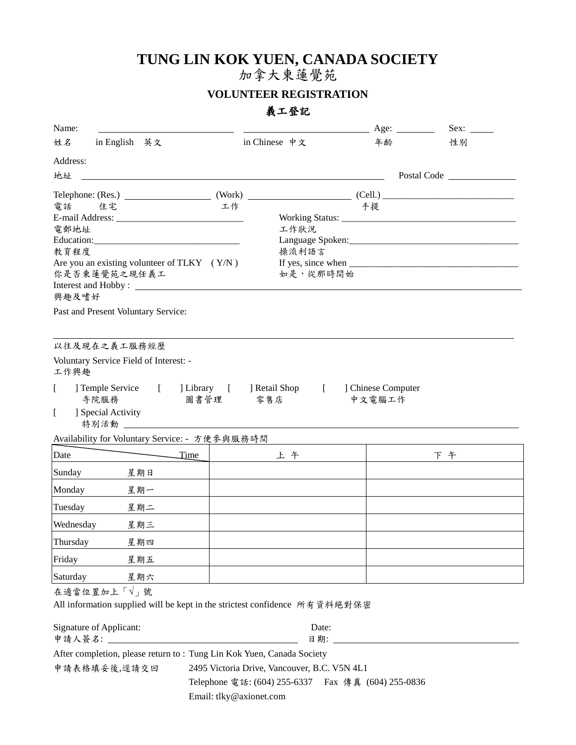### **TUNG LIN KOK YUEN, CANADA SOCIETY**

加拿大東蓮覺苑

#### **VOLUNTEER REGISTRATION**

#### 義工登記

| Name:                                                                                                                                                                                                                                                                                                                                                                                                                                                                                              |                                                     | Age: $\qquad \qquad$ | Sex:        |
|----------------------------------------------------------------------------------------------------------------------------------------------------------------------------------------------------------------------------------------------------------------------------------------------------------------------------------------------------------------------------------------------------------------------------------------------------------------------------------------------------|-----------------------------------------------------|----------------------|-------------|
| 姓名<br>in English 英文                                                                                                                                                                                                                                                                                                                                                                                                                                                                                | in Chinese 中文                                       | 年齢                   | 性別          |
| Address:                                                                                                                                                                                                                                                                                                                                                                                                                                                                                           |                                                     |                      |             |
| 地址                                                                                                                                                                                                                                                                                                                                                                                                                                                                                                 |                                                     |                      | Postal Code |
| Telephone: $(Res.)$ $(We have a result of the following equations for the following equations:\n\text{C} = \{(Rel.) \mid \text{C} = \{(Rel.) \mid \text{C} = \{(Rel.) \mid \text{C} = \{(Rel.) \mid \text{C} = \{(Rel.) \mid \text{C} = \{(Rel.) \mid \text{C} = \{(Rel.) \mid \text{C} = \{(Rel.) \mid \text{C} = \{(Rel.) \mid \text{C} = \{(Rel.) \mid \text{C} = \{(Rel.) \mid \text{C} = \{(Rel.) \mid \text{C} = \{(Rel.) \mid \text{C} = \{(Rel.) \mid \text{C} = \{(Rel.) \mid \text{C} =$ |                                                     |                      |             |
| 電話<br>住宅                                                                                                                                                                                                                                                                                                                                                                                                                                                                                           | 工作                                                  | 手提                   |             |
| 電郵地址                                                                                                                                                                                                                                                                                                                                                                                                                                                                                               | 工作狀況                                                |                      |             |
|                                                                                                                                                                                                                                                                                                                                                                                                                                                                                                    |                                                     |                      |             |
| 教育程度                                                                                                                                                                                                                                                                                                                                                                                                                                                                                               | 操流利語言                                               |                      |             |
| Are you an existing volunteer of TLKY $(Y/N)$<br>你是否柬蓮覺苑之現任義工                                                                                                                                                                                                                                                                                                                                                                                                                                      | 如是,從那時間始                                            |                      |             |
| Interest and Hobby:                                                                                                                                                                                                                                                                                                                                                                                                                                                                                |                                                     |                      |             |
| 興趣及嗜好                                                                                                                                                                                                                                                                                                                                                                                                                                                                                              |                                                     |                      |             |
| Past and Present Voluntary Service:                                                                                                                                                                                                                                                                                                                                                                                                                                                                |                                                     |                      |             |
|                                                                                                                                                                                                                                                                                                                                                                                                                                                                                                    |                                                     |                      |             |
| 以往及現在之義工服務經歷                                                                                                                                                                                                                                                                                                                                                                                                                                                                                       |                                                     |                      |             |
| Voluntary Service Field of Interest: -<br>工作興趣                                                                                                                                                                                                                                                                                                                                                                                                                                                     |                                                     |                      |             |
| ] Temple Service<br>$\Gamma$<br>$\mathbb{R}$                                                                                                                                                                                                                                                                                                                                                                                                                                                       | [ ] Library [ ] Retail Shop<br>$\mathbf{r}$         | ] Chinese Computer   |             |
| 寺院服務                                                                                                                                                                                                                                                                                                                                                                                                                                                                                               | 圖書管理<br>零售店                                         | 中文電腦工作               |             |
| ] Special Activity<br>$\mathbf{I}$                                                                                                                                                                                                                                                                                                                                                                                                                                                                 |                                                     |                      |             |
| 特別活動<br><u> 1980 - Jan Samuel Barbara, martin di</u>                                                                                                                                                                                                                                                                                                                                                                                                                                               |                                                     |                      |             |
| Availability for Voluntary Service: - 方便参與服務時間                                                                                                                                                                                                                                                                                                                                                                                                                                                     |                                                     |                      |             |
| Date<br>Time                                                                                                                                                                                                                                                                                                                                                                                                                                                                                       | 上午                                                  |                      | 下午          |
| Sunday<br>星期日                                                                                                                                                                                                                                                                                                                                                                                                                                                                                      |                                                     |                      |             |
| Monday<br>星期一                                                                                                                                                                                                                                                                                                                                                                                                                                                                                      |                                                     |                      |             |
| Tuesday<br>星期二                                                                                                                                                                                                                                                                                                                                                                                                                                                                                     |                                                     |                      |             |
| Wednesday<br>星期三                                                                                                                                                                                                                                                                                                                                                                                                                                                                                   |                                                     |                      |             |
| Thursday<br>星期四                                                                                                                                                                                                                                                                                                                                                                                                                                                                                    |                                                     |                      |             |
| Friday<br>星期五                                                                                                                                                                                                                                                                                                                                                                                                                                                                                      |                                                     |                      |             |
| Saturday<br>星期六                                                                                                                                                                                                                                                                                                                                                                                                                                                                                    |                                                     |                      |             |
| 在適當位置加上「√」號                                                                                                                                                                                                                                                                                                                                                                                                                                                                                        |                                                     |                      |             |
| All information supplied will be kept in the strictest confidence 所有資料絕對保密                                                                                                                                                                                                                                                                                                                                                                                                                         |                                                     |                      |             |
| Signature of Applicant:                                                                                                                                                                                                                                                                                                                                                                                                                                                                            | Date:                                               |                      |             |
|                                                                                                                                                                                                                                                                                                                                                                                                                                                                                                    |                                                     |                      |             |
| After completion, please return to: Tung Lin Kok Yuen, Canada Society                                                                                                                                                                                                                                                                                                                                                                                                                              |                                                     |                      |             |
| 申請表格填妥後,逕請交回                                                                                                                                                                                                                                                                                                                                                                                                                                                                                       | 2495 Victoria Drive, Vancouver, B.C. V5N 4L1        |                      |             |
|                                                                                                                                                                                                                                                                                                                                                                                                                                                                                                    | Telephone 電話: (604) 255-6337  Fax 傳真 (604) 255-0836 |                      |             |
|                                                                                                                                                                                                                                                                                                                                                                                                                                                                                                    | Email: tlky@axionet.com                             |                      |             |